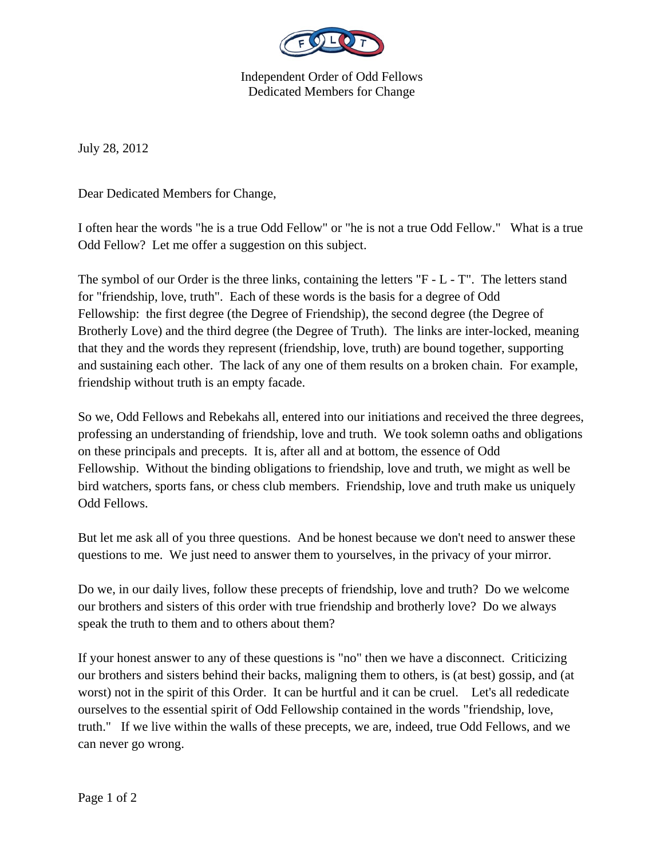

Independent Order of Odd Fellows Dedicated Members for Change

July 28, 2012

Dear Dedicated Members for Change,

I often hear the words "he is a true Odd Fellow" or "he is not a true Odd Fellow." What is a true Odd Fellow? Let me offer a suggestion on this subject.

The symbol of our Order is the three links, containing the letters "F - L - T". The letters stand for "friendship, love, truth". Each of these words is the basis for a degree of Odd Fellowship: the first degree (the Degree of Friendship), the second degree (the Degree of Brotherly Love) and the third degree (the Degree of Truth). The links are inter-locked, meaning that they and the words they represent (friendship, love, truth) are bound together, supporting and sustaining each other. The lack of any one of them results on a broken chain. For example, friendship without truth is an empty facade.

So we, Odd Fellows and Rebekahs all, entered into our initiations and received the three degrees, professing an understanding of friendship, love and truth. We took solemn oaths and obligations on these principals and precepts. It is, after all and at bottom, the essence of Odd Fellowship. Without the binding obligations to friendship, love and truth, we might as well be bird watchers, sports fans, or chess club members. Friendship, love and truth make us uniquely Odd Fellows.

But let me ask all of you three questions. And be honest because we don't need to answer these questions to me. We just need to answer them to yourselves, in the privacy of your mirror.

Do we, in our daily lives, follow these precepts of friendship, love and truth? Do we welcome our brothers and sisters of this order with true friendship and brotherly love? Do we always speak the truth to them and to others about them?

If your honest answer to any of these questions is "no" then we have a disconnect. Criticizing our brothers and sisters behind their backs, maligning them to others, is (at best) gossip, and (at worst) not in the spirit of this Order. It can be hurtful and it can be cruel. Let's all rededicate ourselves to the essential spirit of Odd Fellowship contained in the words "friendship, love, truth." If we live within the walls of these precepts, we are, indeed, true Odd Fellows, and we can never go wrong.